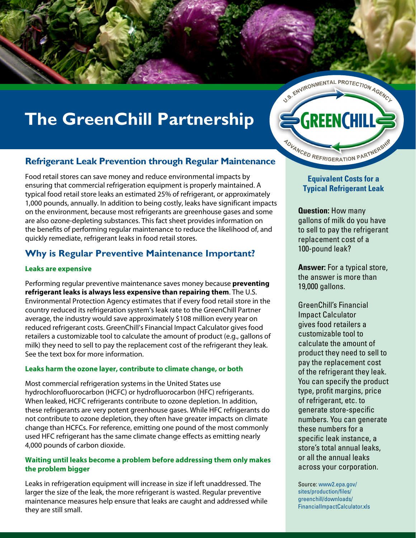

# **The GreenChill Partnership**

## **Refrigerant Leak Prevention through Regular Maintenance**

Food retail stores can save money and reduce environmental impacts by ensuring that commercial refrigeration equipment is properly maintained. A typical food retail store leaks an estimated 25% of refrigerant, or approximately 1,000 pounds, annually. In addition to being costly, leaks have significant impacts on the environment, because most refrigerants are greenhouse gases and some are also ozone-depleting substances. This fact sheet provides information on the benefits of performing regular maintenance to reduce the likelihood of, and quickly remediate, refrigerant leaks in food retail stores.

## **Why is Regular Preventive Maintenance Important?**

#### **Leaks are expensive**

Performing regular preventive maintenance saves money because **preventing refrigerant leaks is always less expensive than repairing them**. The U.S. Environmental Protection Agency estimates that if every food retail store in the country reduced its refrigeration system's leak rate to the GreenChill Partner average, the industry would save approximately \$108 million every year on reduced refrigerant costs. GreenChill's Financial Impact Calculator gives food retailers a customizable tool to calculate the amount of product (e.g., gallons of milk) they need to sell to pay the replacement cost of the refrigerant they leak. See the text box for more information.

#### **Leaks harm the ozone layer, contribute to climate change, or both**

Most commercial refrigeration systems in the United States use hydrochlorofluorocarbon (HCFC) or hydrofluorocarbon (HFC) refrigerants. When leaked, HCFC refrigerants contribute to ozone depletion. In addition, these refrigerants are very potent greenhouse gases. While HFC refrigerants do not contribute to ozone depletion, they often have greater impacts on climate change than HCFCs. For reference, emitting one pound of the most commonly used HFC refrigerant has the same climate change effects as emitting nearly 4,000 pounds of carbon dioxide.

#### **Waiting until leaks become a problem before addressing them only makes the problem bigger**

Leaks in refrigeration equipment will increase in size if left unaddressed. The larger the size of the leak, the more refrigerant is wasted. Regular preventive maintenance measures help ensure that leaks are caught and addressed while they are still small.

**GREENCHILL** NOVANCED REFRIGERATION PARTNERSHI

### **Equivalent Costs for a Typical Refrigerant Leak**

**Question:** How many gallons of milk do you have to sell to pay the refrigerant replacement cost of a 100-pound leak?

**Answer:** For a typical store, the answer is more than 19,000 gallons.

GreenChill's Financial Impact Calculator gives food retailers a customizable tool to calculate the amount of product they need to sell to pay the replacement cost of the refrigerant they leak. You can specify the product type, profit margins, price of refrigerant, etc. to generate store-specific numbers. You can generate these numbers for a specific leak instance, a store's total annual leaks, or all the annual leaks across your corporation.

Source: www2.epa.gov/ sites/production/files/ greenchill/downloads/ FinancialImpactCalculator.xls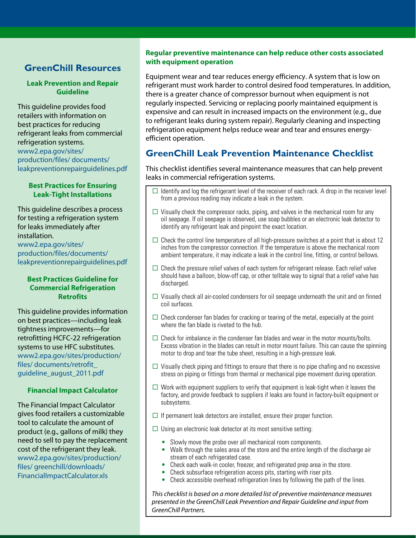## **GreenChill Resources**

#### **Leak Prevention and Repair Guideline**

This guideline provides food retailers with information on best practices for reducing refrigerant leaks from commercial refrigeration systems. www2.epa.gov/sites/ production/files/ documents/ leakpreventionrepairguidelines.pdf

#### **Best Practices for Ensuring Leak-Tight Installations**

This guideline describes a process for testing a refrigeration system for leaks immediately after installation. www2.epa.gov/sites/

production/files/documents/ leakpreventionrepairguidelines.pdf

#### **Best Practices Guideline for Commercial Refrigeration Retrofits**

This guideline provides information on best practices—including leak tightness improvements—for retrofitting HCFC-22 refrigeration systems to use HFC substitutes. www2.epa.gov/sites/production/ files/ documents/retrofit\_ guideline\_august\_2011.pdf

#### **Financial Impact Calculator**

The Financial Impact Calculator gives food retailers a customizable tool to calculate the amount of product (e.g., gallons of milk) they need to sell to pay the replacement cost of the refrigerant they leak. www2.epa.gov/sites/production/ files/ greenchill/downloads/ FinancialImpactCalculator.xls

#### **Regular preventive maintenance can help reduce other costs associated with equipment operation**

Equipment wear and tear reduces energy efficiency. A system that is low on refrigerant must work harder to control desired food temperatures. In addition, there is a greater chance of compressor burnout when equipment is not regularly inspected. Servicing or replacing poorly maintained equipment is expensive and can result in increased impacts on the environment (e.g., due to refrigerant leaks during system repair). Regularly cleaning and inspecting refrigeration equipment helps reduce wear and tear and ensures energyefficient operation.

## **GreenChill Leak Prevention Maintenance Checklist**

This checklist identifies several maintenance measures that can help prevent leaks in commercial refrigeration systems.

- $\Box$  Identify and log the refrigerant level of the receiver of each rack. A drop in the receiver level from a previous reading may indicate a leak in the system.
- $\Box$  Visually check the compressor racks, piping, and valves in the mechanical room for any oil seepage. If oil seepage is observed, use soap bubbles or an electronic leak detector to identify any refrigerant leak and pinpoint the exact location.
- $\Box$  Check the control line temperature of all high-pressure switches at a point that is about 12 inches from the compressor connection. If the temperature is above the mechanical room ambient temperature, it may indicate a leak in the control line, fitting, or control bellows.
- $\Box$  Check the pressure relief valves of each system for refrigerant release. Each relief valve should have a balloon, blow-off cap, or other telltale way to signal that a relief valve has discharged.
- $\Box$  Visually check all air-cooled condensers for oil seepage underneath the unit and on finned coil surfaces.
- $\Box$  Check condenser fan blades for cracking or tearing of the metal, especially at the point where the fan blade is riveted to the hub.
- $\Box$  Check for imbalance in the condenser fan blades and wear in the motor mounts/bolts. Excess vibration in the blades can result in motor mount failure. This can cause the spinning motor to drop and tear the tube sheet, resulting in a high-pressure leak.
- $\Box$  Visually check piping and fittings to ensure that there is no pipe chafing and no excessive stress on piping or fittings from thermal or mechanical pipe movement during operation.
- $\Box$  Work with equipment suppliers to verify that equipment is leak-tight when it leaves the factory, and provide feedback to suppliers if leaks are found in factory-built equipment or subsystems.
- $\Box$  If permanent leak detectors are installed, ensure their proper function.
- $\Box$  Using an electronic leak detector at its most sensitive setting:
	- Slowly move the probe over all mechanical room components.
	- Walk through the sales area of the store and the entire length of the discharge air stream of each refrigerated case.
	- Check each walk-in cooler, freezer, and refrigerated prep area in the store.
	- Check subsurface refrigeration access pits, starting with riser pits.
	- Check accessible overhead refrigeration lines by following the path of the lines.

*This checklist is based on a more detailed list of preventive maintenance measures presented in the GreenChill Leak Prevention and Repair Guideline and input from GreenChill Partners.*